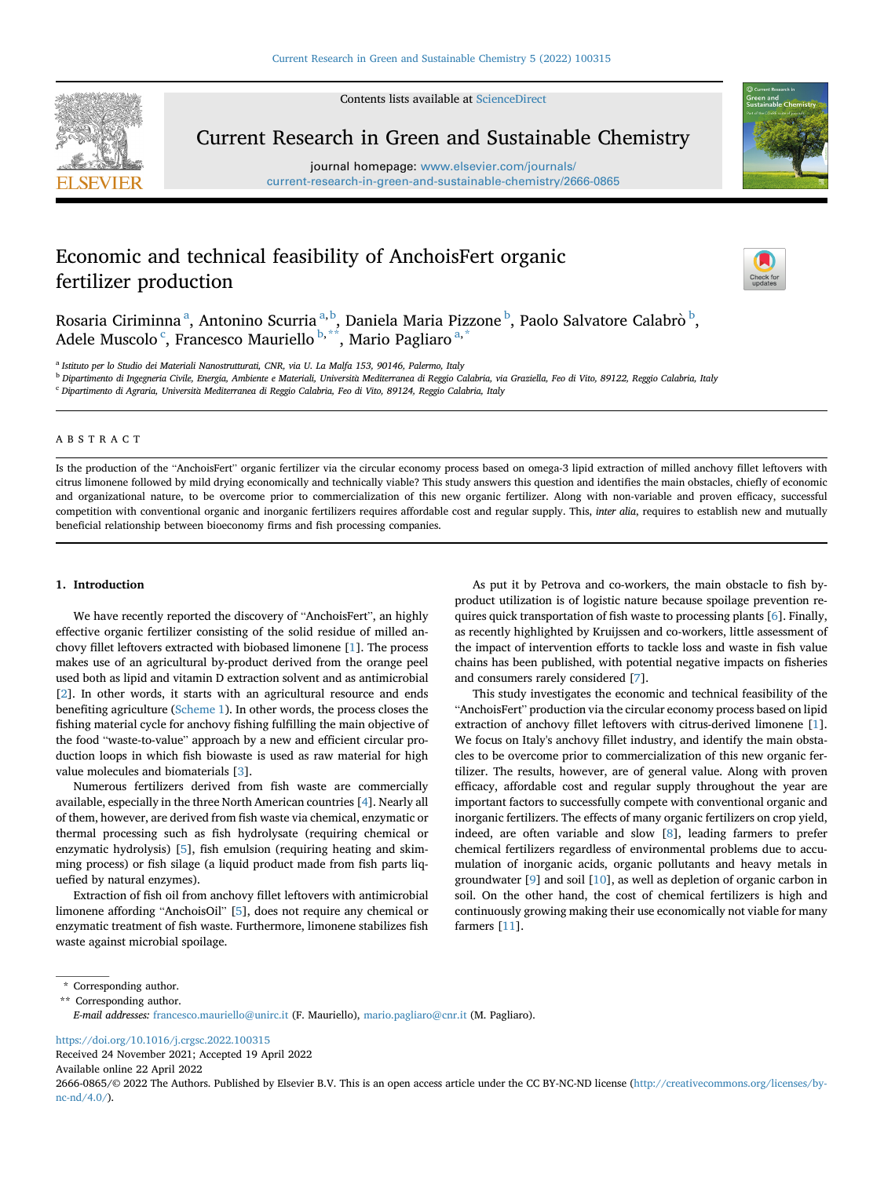Contents lists available at [ScienceDirect](www.sciencedirect.com/science/journal/26660865)



Current Research in Green and Sustainable Chemistry

journal homepage: [www.elsevier.com/journals/](www.elsevier.com/journals/current-research-in-green-and-sustainable-chemistry/2666-0865) [current-research-in-green-and-sustainable-chemistry/2666-0865](www.elsevier.com/journals/current-research-in-green-and-sustainable-chemistry/2666-0865)



# Economic and technical feasibility of AnchoisFert organic fertilizer production



Ros[a](#page-0-0)ria Ciriminna<sup>a</sup>, Antonino Scurria<sup>a, [b](#page-0-1)</sup>, Daniela Maria Pizzone <sup>b</sup>, Paolo Salvatore Calabrò <sup>b</sup>, Adele Mus[c](#page-0-2)olo <sup>c</sup>, Francesco Mauriello <sup>[b](#page-0-1),\*\*</sup>, M[a](#page-0-0)rio Pagliaro <sup>a,\*</sup>

<span id="page-0-0"></span><sup>a</sup> Istituto per lo Studio dei Materiali Nanostrutturati, CNR, via U. La Malfa 153, 90146, Palermo, Italy

<span id="page-0-1"></span><sup>b</sup> Dipartimento di Ingegneria Civile, Energia, Ambiente e Materiali, Università Mediterranea di Reggio Calabria, via Graziella, Feo di Vito, 89122, Reggio Calabria, Italy

<span id="page-0-2"></span><sup>c</sup> Dipartimento di Agraria, Università Mediterranea di Reggio Calabria, Feo di Vito, 89124, Reggio Calabria, Italy

# ABSTRACT

Is the production of the "AnchoisFert" organic fertilizer via the circular economy process based on omega-3 lipid extraction of milled anchovy fillet leftovers with citrus limonene followed by mild drying economically and technically viable? This study answers this question and identifies the main obstacles, chiefly of economic and organizational nature, to be overcome prior to commercialization of this new organic fertilizer. Along with non-variable and proven efficacy, successful competition with conventional organic and inorganic fertilizers requires affordable cost and regular supply. This, inter alia, requires to establish new and mutually beneficial relationship between bioeconomy firms and fish processing companies.

#### 1. Introduction

We have recently reported the discovery of "AnchoisFert", an highly effective organic fertilizer consisting of the solid residue of milled anchovy fillet leftovers extracted with biobased limonene [\[1\]](#page-3-0). The process makes use of an agricultural by-product derived from the orange peel used both as lipid and vitamin D extraction solvent and as antimicrobial [[2](#page-3-1)]. In other words, it starts with an agricultural resource and ends benefiting agriculture [\(Scheme 1\)](#page-1-0). In other words, the process closes the fishing material cycle for anchovy fishing fulfilling the main objective of the food "waste-to-value" approach by a new and efficient circular production loops in which fish biowaste is used as raw material for high value molecules and biomaterials [\[3\]](#page-3-2).

Numerous fertilizers derived from fish waste are commercially available, especially in the three North American countries [[4](#page-3-3)]. Nearly all of them, however, are derived from fish waste via chemical, enzymatic or thermal processing such as fish hydrolysate (requiring chemical or enzymatic hydrolysis) [[5](#page-3-4)], fish emulsion (requiring heating and skimming process) or fish silage (a liquid product made from fish parts liquefied by natural enzymes).

Extraction of fish oil from anchovy fillet leftovers with antimicrobial limonene affording "AnchoisOil" [[5](#page-3-4)], does not require any chemical or enzymatic treatment of fish waste. Furthermore, limonene stabilizes fish waste against microbial spoilage.

As put it by Petrova and co-workers, the main obstacle to fish byproduct utilization is of logistic nature because spoilage prevention requires quick transportation of fish waste to processing plants [[6](#page-3-5)]. Finally, as recently highlighted by Kruijssen and co-workers, little assessment of the impact of intervention efforts to tackle loss and waste in fish value chains has been published, with potential negative impacts on fisheries and consumers rarely considered [\[7\]](#page-3-6).

This study investigates the economic and technical feasibility of the "AnchoisFert" production via the circular economy process based on lipid extraction of anchovy fillet leftovers with citrus-derived limonene [[1](#page-3-0)]. We focus on Italy's anchovy fillet industry, and identify the main obstacles to be overcome prior to commercialization of this new organic fertilizer. The results, however, are of general value. Along with proven efficacy, affordable cost and regular supply throughout the year are important factors to successfully compete with conventional organic and inorganic fertilizers. The effects of many organic fertilizers on crop yield, indeed, are often variable and slow [\[8\]](#page-3-7), leading farmers to prefer chemical fertilizers regardless of environmental problems due to accumulation of inorganic acids, organic pollutants and heavy metals in groundwater [[9](#page-3-8)] and soil [[10\]](#page-3-9), as well as depletion of organic carbon in soil. On the other hand, the cost of chemical fertilizers is high and continuously growing making their use economically not viable for many farmers [[11\]](#page-3-10).

<https://doi.org/10.1016/j.crgsc.2022.100315>

Received 24 November 2021; Accepted 19 April 2022 Available online 22 April 2022

2666-0865/© 2022 The Authors. Published by Elsevier B.V. This is an open access article under the CC BY-NC-ND license [\(http://creativecommons.org/licenses/by](http://creativecommons.org/licenses/by-nc-nd/4.0/)[nc-nd/4.0/](http://creativecommons.org/licenses/by-nc-nd/4.0/)).

<sup>\*</sup> Corresponding author.

<span id="page-0-3"></span><sup>\*\*</sup> Corresponding author.

E-mail addresses: [francesco.mauriello@unirc.it](mailto:francesco.mauriello@unirc.it) (F. Mauriello), mario.pagliaro@cnr.it (M. Pagliaro).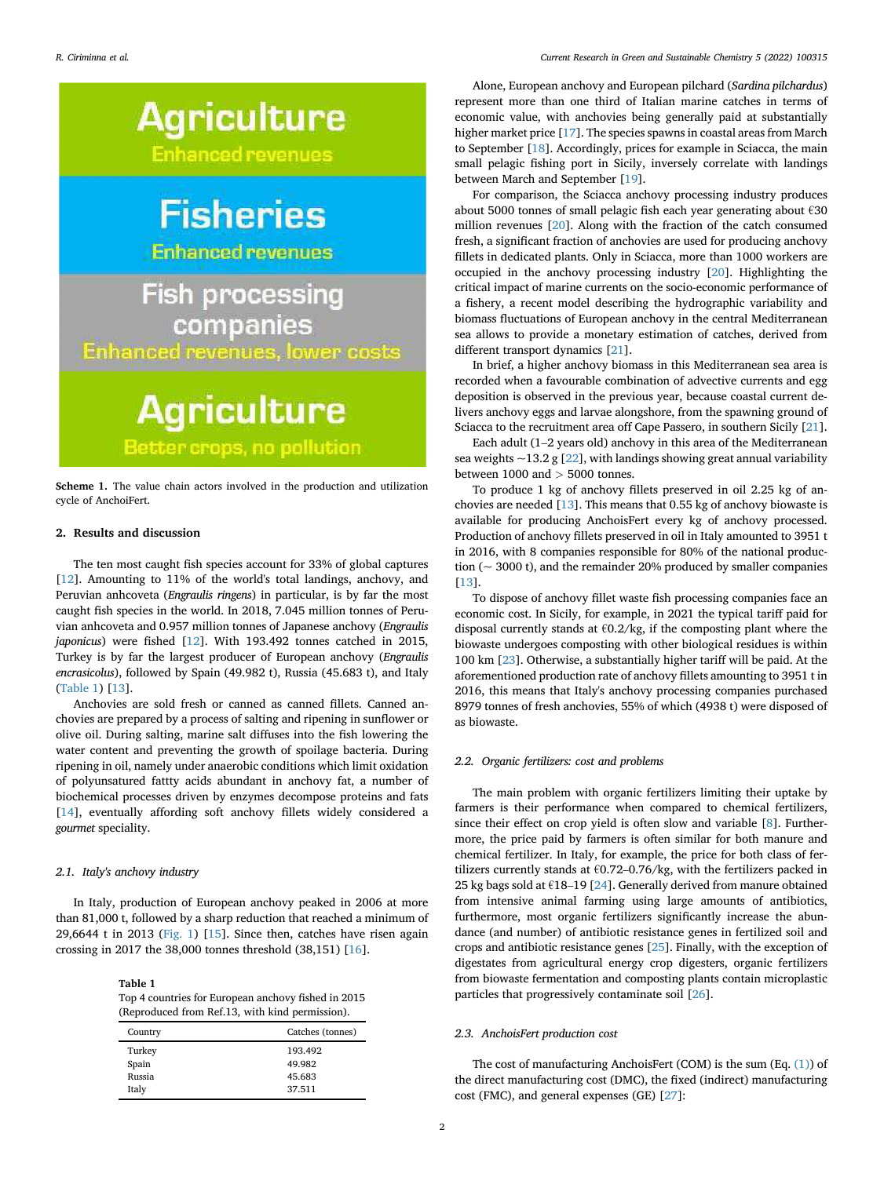<span id="page-1-0"></span>

Scheme 1. The value chain actors involved in the production and utilization cycle of AnchoiFert.

### 2. Results and discussion

The ten most caught fish species account for 33% of global captures [[12\]](#page-4-0). Amounting to 11% of the world's total landings, anchovy, and Peruvian anhcoveta (Engraulis ringens) in particular, is by far the most caught fish species in the world. In 2018, 7.045 million tonnes of Peruvian anhcoveta and 0.957 million tonnes of Japanese anchovy (Engraulis japonicus) were fished [[12\]](#page-4-0). With 193.492 tonnes catched in 2015, Turkey is by far the largest producer of European anchovy (Engraulis encrasicolus), followed by Spain (49.982 t), Russia (45.683 t), and Italy ([Table 1\)](#page-1-1) [\[13](#page-4-1)].

Anchovies are sold fresh or canned as canned fillets. Canned anchovies are prepared by a process of salting and ripening in sunflower or olive oil. During salting, marine salt diffuses into the fish lowering the water content and preventing the growth of spoilage bacteria. During ripening in oil, namely under anaerobic conditions which limit oxidation of polyunsatured fattty acids abundant in anchovy fat, a number of biochemical processes driven by enzymes decompose proteins and fats [[14\]](#page-4-2), eventually affording soft anchovy fillets widely considered a gourmet speciality.

#### 2.1. Italy's anchovy industry

In Italy, production of European anchovy peaked in 2006 at more than 81,000 t, followed by a sharp reduction that reached a minimum of 29,6644 t in 2013 [\(Fig. 1\)](#page-2-0)  $[15]$  $[15]$ . Since then, catches have risen again crossing in 2017 the 38,000 tonnes threshold (38,151) [\[16](#page-4-4)].

<span id="page-1-1"></span>Table 1 Top 4 countries for European anchovy fished in 2015 (Reproduced from Ref.13, with kind permission).

| Country | Catches (tonnes) |
|---------|------------------|
| Turkey  | 193.492          |
| Spain   | 49.982           |
| Russia  | 45.683           |
| Italy   | 37.511           |

Alone, European anchovy and European pilchard (Sardina pilchardus) represent more than one third of Italian marine catches in terms of economic value, with anchovies being generally paid at substantially higher market price [\[17](#page-4-5)]. The species spawns in coastal areas from March to September [\[18](#page-4-6)]. Accordingly, prices for example in Sciacca, the main small pelagic fishing port in Sicily, inversely correlate with landings between March and September [[19\]](#page-4-7).

For comparison, the Sciacca anchovy processing industry produces about 5000 tonnes of small pelagic fish each year generating about €30 million revenues [\[20](#page-4-8)]. Along with the fraction of the catch consumed fresh, a significant fraction of anchovies are used for producing anchovy fillets in dedicated plants. Only in Sciacca, more than 1000 workers are occupied in the anchovy processing industry [[20](#page-4-8)]. Highlighting the critical impact of marine currents on the socio-economic performance of a fishery, a recent model describing the hydrographic variability and biomass fluctuations of European anchovy in the central Mediterranean sea allows to provide a monetary estimation of catches, derived from different transport dynamics [[21\]](#page-4-9).

In brief, a higher anchovy biomass in this Mediterranean sea area is recorded when a favourable combination of advective currents and egg deposition is observed in the previous year, because coastal current delivers anchovy eggs and larvae alongshore, from the spawning ground of Sciacca to the recruitment area off Cape Passero, in southern Sicily [\[21](#page-4-9)].

Each adult (1–2 years old) anchovy in this area of the Mediterranean sea weights  $\sim$ 13.2 g [\[22](#page-4-10)], with landings showing great annual variability between  $1000$  and  $> 5000$  tonnes.

To produce 1 kg of anchovy fillets preserved in oil 2.25 kg of anchovies are needed [[13\]](#page-4-1). This means that 0.55 kg of anchovy biowaste is available for producing AnchoisFert every kg of anchovy processed. Production of anchovy fillets preserved in oil in Italy amounted to 3951 t in 2016, with 8 companies responsible for 80% of the national production (~ 3000 t), and the remainder 20% produced by smaller companies [[13\]](#page-4-1).

To dispose of anchovy fillet waste fish processing companies face an economic cost. In Sicily, for example, in 2021 the typical tariff paid for disposal currently stands at  $\epsilon$ 0.2/kg, if the composting plant where the biowaste undergoes composting with other biological residues is within 100 km [[23](#page-4-11)]. Otherwise, a substantially higher tariff will be paid. At the aforementioned production rate of anchovy fillets amounting to 3951 t in 2016, this means that Italy's anchovy processing companies purchased 8979 tonnes of fresh anchovies, 55% of which (4938 t) were disposed of as biowaste.

## 2.2. Organic fertilizers: cost and problems

The main problem with organic fertilizers limiting their uptake by farmers is their performance when compared to chemical fertilizers, since their effect on crop yield is often slow and variable [\[8\]](#page-3-7). Furthermore, the price paid by farmers is often similar for both manure and chemical fertilizer. In Italy, for example, the price for both class of fertilizers currently stands at  $\epsilon$ 0.72–0.76/kg, with the fertilizers packed in 25 kg bags sold at  $\epsilon$ 18–19 [[24](#page-4-12)]. Generally derived from manure obtained from intensive animal farming using large amounts of antibiotics, furthermore, most organic fertilizers significantly increase the abundance (and number) of antibiotic resistance genes in fertilized soil and crops and antibiotic resistance genes [\[25](#page-4-13)]. Finally, with the exception of digestates from agricultural energy crop digesters, organic fertilizers from biowaste fermentation and composting plants contain microplastic particles that progressively contaminate soil [\[26](#page-4-14)].

## 2.3. AnchoisFert production cost

The cost of manufacturing AnchoisFert (COM) is the sum (Eq. [\(1\)\)](#page-2-1) of the direct manufacturing cost (DMC), the fixed (indirect) manufacturing cost (FMC), and general expenses (GE) [[27\]](#page-4-15):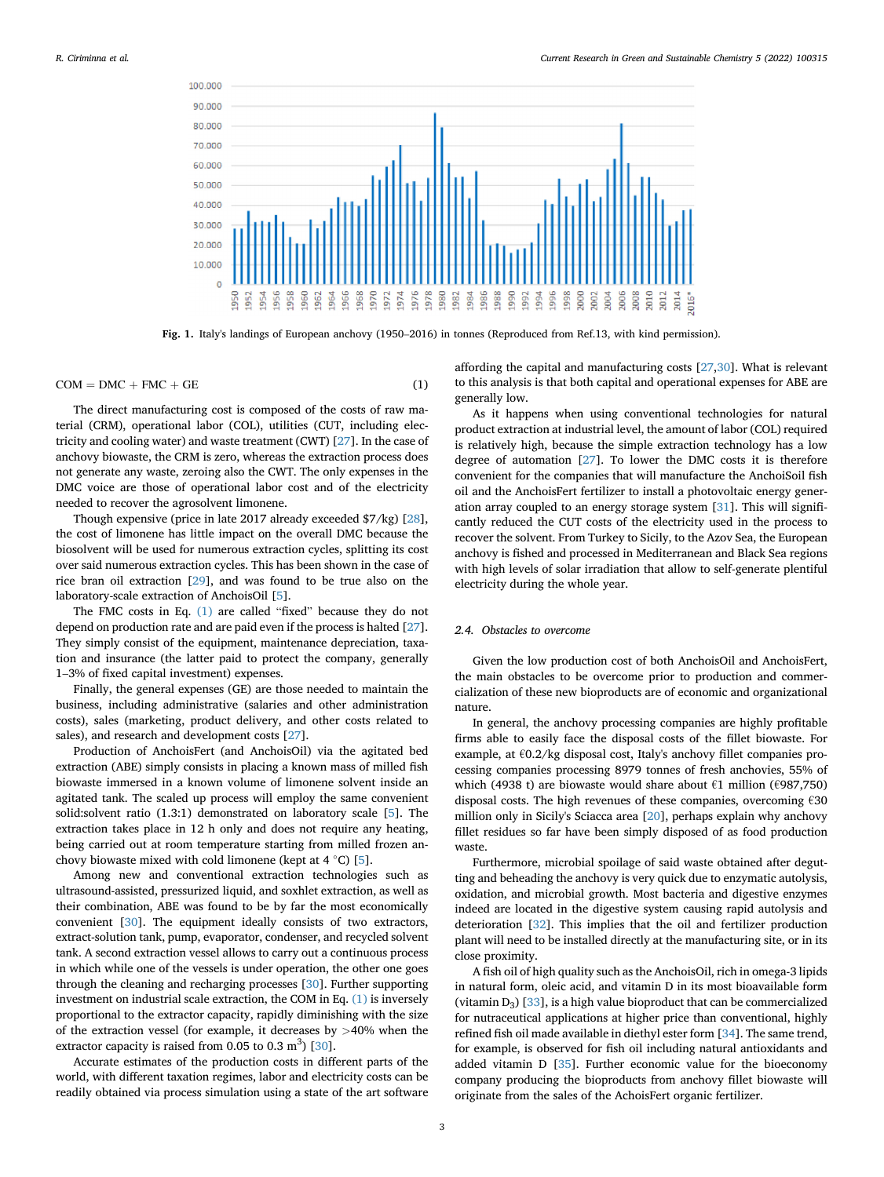<span id="page-2-0"></span>

Fig. 1. Italy's landings of European anchovy (1950–2016) in tonnes (Reproduced from Ref.13, with kind permission).

## <span id="page-2-1"></span> $COM = DMC + FMC + GE$  (1)

The direct manufacturing cost is composed of the costs of raw material (CRM), operational labor (COL), utilities (CUT, including electricity and cooling water) and waste treatment (CWT) [\[27](#page-4-15)]. In the case of anchovy biowaste, the CRM is zero, whereas the extraction process does not generate any waste, zeroing also the CWT. The only expenses in the DMC voice are those of operational labor cost and of the electricity needed to recover the agrosolvent limonene.

Though expensive (price in late 2017 already exceeded \$7/kg) [\[28](#page-4-16)], the cost of limonene has little impact on the overall DMC because the biosolvent will be used for numerous extraction cycles, splitting its cost over said numerous extraction cycles. This has been shown in the case of rice bran oil extraction [[29\]](#page-4-17), and was found to be true also on the laboratory-scale extraction of AnchoisOil [\[5\]](#page-3-4).

The FMC costs in Eq. [\(1\)](#page-2-1) are called "fixed" because they do not depend on production rate and are paid even if the process is halted [\[27](#page-4-15)]. They simply consist of the equipment, maintenance depreciation, taxation and insurance (the latter paid to protect the company, generally 1–3% of fixed capital investment) expenses.

Finally, the general expenses (GE) are those needed to maintain the business, including administrative (salaries and other administration costs), sales (marketing, product delivery, and other costs related to sales), and research and development costs [[27\]](#page-4-15).

Production of AnchoisFert (and AnchoisOil) via the agitated bed extraction (ABE) simply consists in placing a known mass of milled fish biowaste immersed in a known volume of limonene solvent inside an agitated tank. The scaled up process will employ the same convenient solid:solvent ratio (1.3:1) demonstrated on laboratory scale [[5](#page-3-4)]. The extraction takes place in 12 h only and does not require any heating, being carried out at room temperature starting from milled frozen anchovy biowaste mixed with cold limonene (kept at 4  $^{\circ}$ C) [\[5\]](#page-3-4).

Among new and conventional extraction technologies such as ultrasound-assisted, pressurized liquid, and soxhlet extraction, as well as their combination, ABE was found to be by far the most economically convenient [[30\]](#page-4-18). The equipment ideally consists of two extractors, extract-solution tank, pump, evaporator, condenser, and recycled solvent tank. A second extraction vessel allows to carry out a continuous process in which while one of the vessels is under operation, the other one goes through the cleaning and recharging processes [\[30](#page-4-18)]. Further supporting investment on industrial scale extraction, the COM in Eq. [\(1\)](#page-2-1) is inversely proportional to the extractor capacity, rapidly diminishing with the size of the extraction vessel (for example, it decreases by  $>40\%$  when the extractor capacity is raised from 0.05 to 0.3  $m<sup>3</sup>$ ) [\[30](#page-4-18)].

Accurate estimates of the production costs in different parts of the world, with different taxation regimes, labor and electricity costs can be readily obtained via process simulation using a state of the art software

affording the capital and manufacturing costs [\[27](#page-4-15)[,30](#page-4-18)]. What is relevant to this analysis is that both capital and operational expenses for ABE are generally low.

As it happens when using conventional technologies for natural product extraction at industrial level, the amount of labor (COL) required is relatively high, because the simple extraction technology has a low degree of automation [[27\]](#page-4-15). To lower the DMC costs it is therefore convenient for the companies that will manufacture the AnchoiSoil fish oil and the AnchoisFert fertilizer to install a photovoltaic energy generation array coupled to an energy storage system [\[31\]](#page-4-19). This will significantly reduced the CUT costs of the electricity used in the process to recover the solvent. From Turkey to Sicily, to the Azov Sea, the European anchovy is fished and processed in Mediterranean and Black Sea regions with high levels of solar irradiation that allow to self-generate plentiful electricity during the whole year.

#### 2.4. Obstacles to overcome

Given the low production cost of both AnchoisOil and AnchoisFert, the main obstacles to be overcome prior to production and commercialization of these new bioproducts are of economic and organizational nature.

In general, the anchovy processing companies are highly profitable firms able to easily face the disposal costs of the fillet biowaste. For example, at  $\epsilon$ 0.2/kg disposal cost, Italy's anchovy fillet companies processing companies processing 8979 tonnes of fresh anchovies, 55% of which (4938 t) are biowaste would share about €1 million (€987,750) disposal costs. The high revenues of these companies, overcoming  $\epsilon$ 30 million only in Sicily's Sciacca area [\[20](#page-4-8)], perhaps explain why anchovy fillet residues so far have been simply disposed of as food production waste.

Furthermore, microbial spoilage of said waste obtained after degutting and beheading the anchovy is very quick due to enzymatic autolysis, oxidation, and microbial growth. Most bacteria and digestive enzymes indeed are located in the digestive system causing rapid autolysis and deterioration [\[32](#page-4-20)]. This implies that the oil and fertilizer production plant will need to be installed directly at the manufacturing site, or in its close proximity.

A fish oil of high quality such as the AnchoisOil, rich in omega-3 lipids in natural form, oleic acid, and vitamin D in its most bioavailable form (vitamin  $D_3$ ) [\[33](#page-4-21)], is a high value bioproduct that can be commercialized for nutraceutical applications at higher price than conventional, highly refined fish oil made available in diethyl ester form [[34\]](#page-4-22). The same trend, for example, is observed for fish oil including natural antioxidants and added vitamin D [\[35](#page-4-23)]. Further economic value for the bioeconomy company producing the bioproducts from anchovy fillet biowaste will originate from the sales of the AchoisFert organic fertilizer.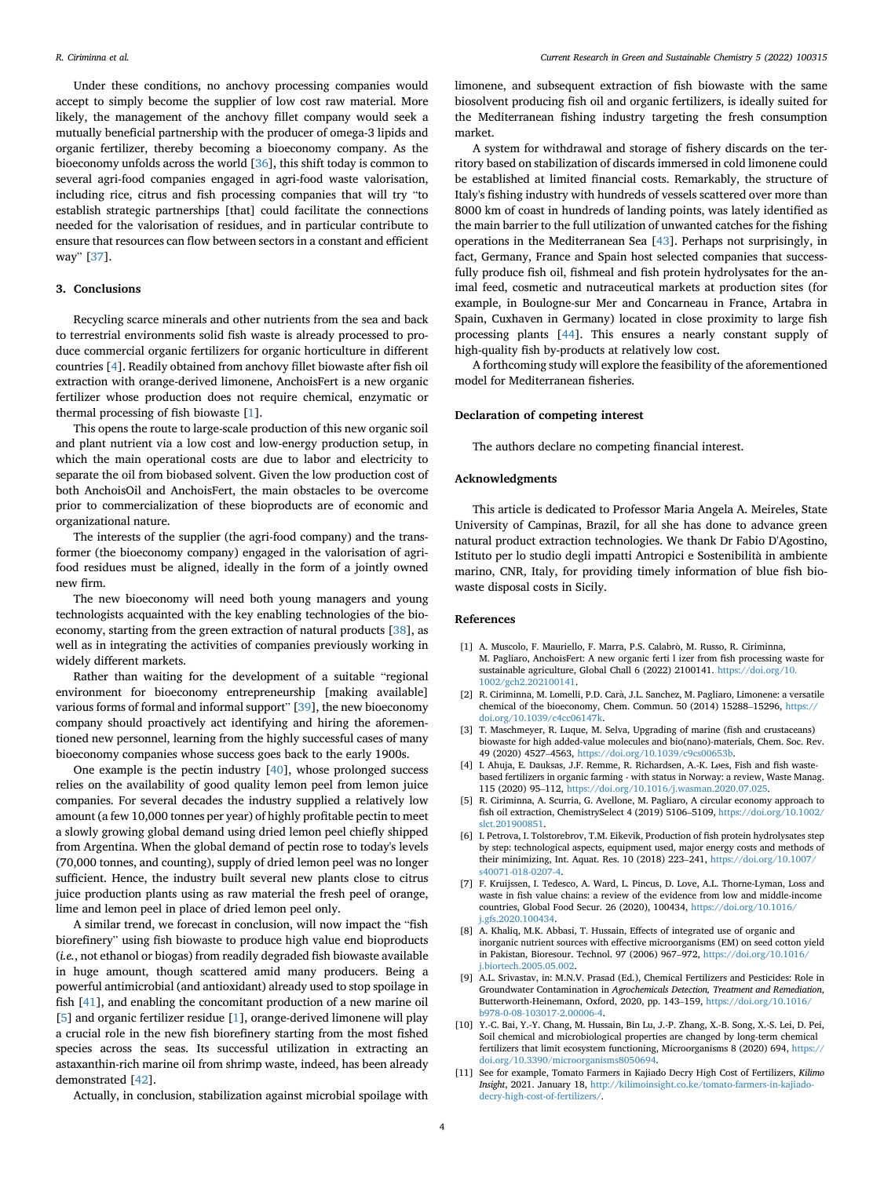Under these conditions, no anchovy processing companies would accept to simply become the supplier of low cost raw material. More likely, the management of the anchovy fillet company would seek a mutually beneficial partnership with the producer of omega-3 lipids and organic fertilizer, thereby becoming a bioeconomy company. As the bioeconomy unfolds across the world [[36\]](#page-4-24), this shift today is common to several agri-food companies engaged in agri-food waste valorisation, including rice, citrus and fish processing companies that will try "to establish strategic partnerships [that] could facilitate the connections needed for the valorisation of residues, and in particular contribute to ensure that resources can flow between sectors in a constant and efficient way" [\[37](#page-4-25)].

#### 3. Conclusions

Recycling scarce minerals and other nutrients from the sea and back to terrestrial environments solid fish waste is already processed to produce commercial organic fertilizers for organic horticulture in different countries [[4](#page-3-3)]. Readily obtained from anchovy fillet biowaste after fish oil extraction with orange-derived limonene, AnchoisFert is a new organic fertilizer whose production does not require chemical, enzymatic or thermal processing of fish biowaste [\[1\]](#page-3-0).

This opens the route to large-scale production of this new organic soil and plant nutrient via a low cost and low-energy production setup, in which the main operational costs are due to labor and electricity to separate the oil from biobased solvent. Given the low production cost of both AnchoisOil and AnchoisFert, the main obstacles to be overcome prior to commercialization of these bioproducts are of economic and organizational nature.

The interests of the supplier (the agri-food company) and the transformer (the bioeconomy company) engaged in the valorisation of agrifood residues must be aligned, ideally in the form of a jointly owned new firm.

The new bioeconomy will need both young managers and young technologists acquainted with the key enabling technologies of the bioeconomy, starting from the green extraction of natural products [[38\]](#page-4-26), as well as in integrating the activities of companies previously working in widely different markets.

Rather than waiting for the development of a suitable "regional environment for bioeconomy entrepreneurship [making available] various forms of formal and informal support" [[39\]](#page-4-27), the new bioeconomy company should proactively act identifying and hiring the aforementioned new personnel, learning from the highly successful cases of many bioeconomy companies whose success goes back to the early 1900s.

One example is the pectin industry [\[40](#page-4-28)], whose prolonged success relies on the availability of good quality lemon peel from lemon juice companies. For several decades the industry supplied a relatively low amount (a few 10,000 tonnes per year) of highly profitable pectin to meet a slowly growing global demand using dried lemon peel chiefly shipped from Argentina. When the global demand of pectin rose to today's levels (70,000 tonnes, and counting), supply of dried lemon peel was no longer sufficient. Hence, the industry built several new plants close to citrus juice production plants using as raw material the fresh peel of orange, lime and lemon peel in place of dried lemon peel only.

A similar trend, we forecast in conclusion, will now impact the "fish biorefinery" using fish biowaste to produce high value end bioproducts (i.e., not ethanol or biogas) from readily degraded fish biowaste available in huge amount, though scattered amid many producers. Being a powerful antimicrobial (and antioxidant) already used to stop spoilage in fish [[41\]](#page-4-29), and enabling the concomitant production of a new marine oil [[5](#page-3-4)] and organic fertilizer residue [[1](#page-3-0)], orange-derived limonene will play a crucial role in the new fish biorefinery starting from the most fished species across the seas. Its successful utilization in extracting an astaxanthin-rich marine oil from shrimp waste, indeed, has been already demonstrated [\[42\]](#page-4-30).

limonene, and subsequent extraction of fish biowaste with the same biosolvent producing fish oil and organic fertilizers, is ideally suited for the Mediterranean fishing industry targeting the fresh consumption market.

A system for withdrawal and storage of fishery discards on the territory based on stabilization of discards immersed in cold limonene could be established at limited financial costs. Remarkably, the structure of Italy's fishing industry with hundreds of vessels scattered over more than 8000 km of coast in hundreds of landing points, was lately identified as the main barrier to the full utilization of unwanted catches for the fishing operations in the Mediterranean Sea [\[43](#page-4-31)]. Perhaps not surprisingly, in fact, Germany, France and Spain host selected companies that successfully produce fish oil, fishmeal and fish protein hydrolysates for the animal feed, cosmetic and nutraceutical markets at production sites (for example, in Boulogne-sur Mer and Concarneau in France, Artabra in Spain, Cuxhaven in Germany) located in close proximity to large fish processing plants [[44](#page-4-32)]. This ensures a nearly constant supply of high-quality fish by-products at relatively low cost.

A forthcoming study will explore the feasibility of the aforementioned model for Mediterranean fisheries.

#### Declaration of competing interest

The authors declare no competing financial interest.

## Acknowledgments

This article is dedicated to Professor Maria Angela A. Meireles, State University of Campinas, Brazil, for all she has done to advance green natural product extraction technologies. We thank Dr Fabio D'Agostino, Istituto per lo studio degli impatti Antropici e Sostenibilita in ambiente marino, CNR, Italy, for providing timely information of blue fish biowaste disposal costs in Sicily.

#### References

- <span id="page-3-0"></span>[1] A. Muscolo, F. Mauriello, F. Marra, P.S. Calabrò, M. Russo, R. Ciriminna, M. Pagliaro, AnchoisFert: A new organic ferti l izer from fish processing waste for sustainable agriculture, Global Chall 6 (2022) 2100141. [https://doi.org/10.](https://doi.org/10.1002/gch2.202100141) [1002/gch2.202100141.](https://doi.org/10.1002/gch2.202100141)
- <span id="page-3-1"></span>[2] R. Ciriminna, M. Lomelli, P.D. Cara, J.L. Sanchez, M. Pagliaro, Limonene: a versatile chemical of the bioeconomy, Chem. Commun. 50 (2014) 15288–15296, [https://](https://doi.org/10.1039/c4cc06147k) [doi.org/10.1039/c4cc06147k](https://doi.org/10.1039/c4cc06147k).
- <span id="page-3-2"></span>[3] T. Maschmeyer, R. Luque, M. Selva, Upgrading of marine (fish and crustaceans) biowaste for high added-value molecules and bio(nano)-materials, Chem. Soc. Rev. 49 (2020) 4527–4563, <https://doi.org/10.1039/c9cs00653b>.
- <span id="page-3-3"></span>[4] I. Ahuja, E. Dauksas, J.F. Remme, R. Richardsen, A.-K. Løes, Fish and fish wastebased fertilizers in organic farming - with status in Norway: a review, Waste Manag. 115 (2020) 95–112, <https://doi.org/10.1016/j.wasman.2020.07.025>.
- <span id="page-3-4"></span>[5] R. Ciriminna, A. Scurria, G. Avellone, M. Pagliaro, A circular economy approach to fish oil extraction, ChemistrySelect 4 (2019) 5106–5109, [https://doi.org/10.1002/](https://doi.org/10.1002/slct.201900851) [slct.201900851](https://doi.org/10.1002/slct.201900851).
- <span id="page-3-5"></span>[6] I. Petrova, I. Tolstorebrov, T.M. Eikevik, Production of fish protein hydrolysates step by step: technological aspects, equipment used, major energy costs and methods of their minimizing, Int. Aquat. Res. 10 (2018) 223–241, [https://doi.org/10.1007/](https://doi.org/10.1007/s40071-018-0207-4) [s40071-018-0207-4](https://doi.org/10.1007/s40071-018-0207-4).
- <span id="page-3-6"></span>[7] F. Kruijssen, I. Tedesco, A. Ward, L. Pincus, D. Love, A.L. Thorne-Lyman, Loss and waste in fish value chains: a review of the evidence from low and middle-income countries, Global Food Secur. 26 (2020), 100434, [https://doi.org/10.1016/](https://doi.org/10.1016/j.gfs.2020.100434) .gfs.2020.100434.
- <span id="page-3-7"></span>[8] A. Khaliq, M.K. Abbasi, T. Hussain, Effects of integrated use of organic and inorganic nutrient sources with effective microorganisms (EM) on seed cotton yield in Pakistan, Bioresour. Technol. 97 (2006) 967–972, [https://doi.org/10.1016/](https://doi.org/10.1016/j.biortech.2005.05.002) i.biortech.2005.05.002.
- <span id="page-3-8"></span>[9] A.L. Srivastav, in: M.N.V. Prasad (Ed.), Chemical Fertilizers and Pesticides: Role in Groundwater Contamination in Agrochemicals Detection, Treatment and Remediation, Butterworth-Heinemann, Oxford, 2020, pp. 143–159, [https://doi.org/10.1016/](https://doi.org/10.1016/b978-0-08-103017-2.00006-4) [b978-0-08-103017-2.00006-4](https://doi.org/10.1016/b978-0-08-103017-2.00006-4).
- <span id="page-3-9"></span>[10] Y.-C. Bai, Y.-Y. Chang, M. Hussain, Bin Lu, J.-P. Zhang, X.-B. Song, X.-S. Lei, D. Pei, Soil chemical and microbiological properties are changed by long-term chemical fertilizers that limit ecosystem functioning, Microorganisms 8 (2020) 694, [https://](https://doi.org/10.3390/microorganisms8050694) [doi.org/10.3390/microorganisms8050694](https://doi.org/10.3390/microorganisms8050694).
- <span id="page-3-10"></span>[11] See for example, Tomato Farmers in Kajiado Decry High Cost of Fertilizers, Kilimo Insight, 2021. January 18, [http://kilimoinsight.co.ke/tomato-farmers-in-kajiado](http://kilimoinsight.co.ke/tomato-farmers-in-kajiado-decry-high-cost-of-fertilizers/)[decry-high-cost-of-fertilizers/](http://kilimoinsight.co.ke/tomato-farmers-in-kajiado-decry-high-cost-of-fertilizers/).

Actually, in conclusion, stabilization against microbial spoilage with